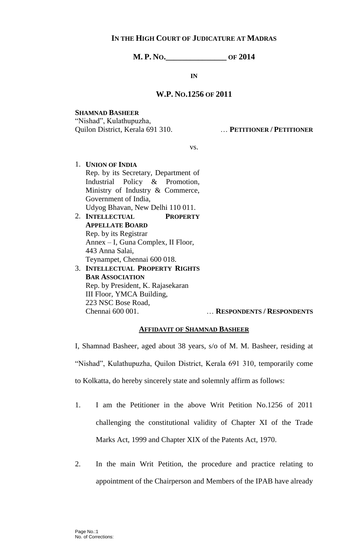## **IN THE HIGH COURT OF JUDICATURE AT MADRAS**

**M. P. NO.\_\_\_\_\_\_\_\_\_\_\_\_\_\_\_ OF 2014**

**IN**

## **W.P. NO.1256 OF 2011**

**SHAMNAD BASHEER** "Nishad", Kulathupuzha, Quilon District, Kerala 691 310. … **PETITIONER / PETITIONER**

vs.

- 1. **UNION OF INDIA** Rep. by its Secretary, Department of Industrial Policy & Promotion, Ministry of Industry & Commerce, Government of India, Udyog Bhavan, New Delhi 110 011. 2. **INTELLECTUAL PROPERTY** 
	- **APPELLATE BOARD** Rep. by its Registrar Annex – I, Guna Complex, II Floor, 443 Anna Salai, Teynampet, Chennai 600 018.
- 3. **INTELLECTUAL PROPERTY RIGHTS BAR ASSOCIATION** Rep. by President, K. Rajasekaran III Floor, YMCA Building, 223 NSC Bose Road,

Chennai 600 001. … **RESPONDENTS / RESPONDENTS**

## **AFFIDAVIT OF SHAMNAD BASHEER**

I, Shamnad Basheer, aged about 38 years, s/o of M. M. Basheer, residing at "Nishad", Kulathupuzha, Quilon District, Kerala 691 310, temporarily come to Kolkatta, do hereby sincerely state and solemnly affirm as follows:

- 1. I am the Petitioner in the above Writ Petition No.1256 of 2011 challenging the constitutional validity of Chapter XI of the Trade Marks Act, 1999 and Chapter XIX of the Patents Act, 1970.
- 2. In the main Writ Petition, the procedure and practice relating to appointment of the Chairperson and Members of the IPAB have already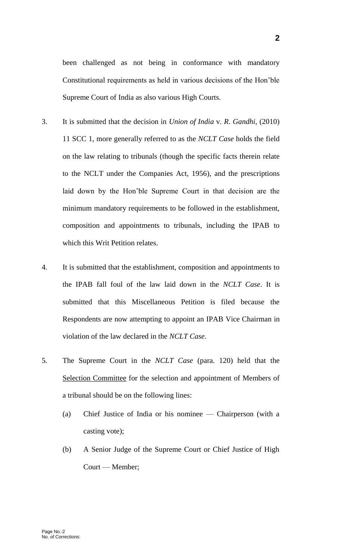been challenged as not being in conformance with mandatory Constitutional requirements as held in various decisions of the Hon'ble Supreme Court of India as also various High Courts.

- 3. It is submitted that the decision in *Union of India* v. *R*. *Gandhi*, (2010) 11 SCC 1, more generally referred to as the *NCLT Case* holds the field on the law relating to tribunals (though the specific facts therein relate to the NCLT under the Companies Act, 1956), and the prescriptions laid down by the Hon'ble Supreme Court in that decision are the minimum mandatory requirements to be followed in the establishment, composition and appointments to tribunals, including the IPAB to which this Writ Petition relates.
- 4. It is submitted that the establishment, composition and appointments to the IPAB fall foul of the law laid down in the *NCLT Case*. It is submitted that this Miscellaneous Petition is filed because the Respondents are now attempting to appoint an IPAB Vice Chairman in violation of the law declared in the *NCLT Case*.
- 5. The Supreme Court in the *NCLT Case* (para. 120) held that the Selection Committee for the selection and appointment of Members of a tribunal should be on the following lines:
	- (a) Chief Justice of India or his nominee Chairperson (with a casting vote);
	- (b) A Senior Judge of the Supreme Court or Chief Justice of High Court — Member;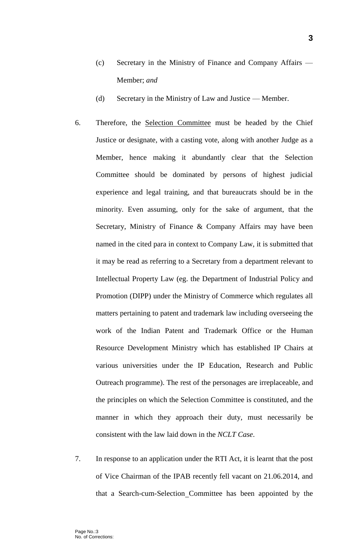- (c) Secretary in the Ministry of Finance and Company Affairs Member; *and*
- (d) Secretary in the Ministry of Law and Justice Member.
- 6. Therefore, the Selection Committee must be headed by the Chief Justice or designate, with a casting vote, along with another Judge as a Member, hence making it abundantly clear that the Selection Committee should be dominated by persons of highest judicial experience and legal training, and that bureaucrats should be in the minority. Even assuming, only for the sake of argument, that the Secretary, Ministry of Finance & Company Affairs may have been named in the cited para in context to Company Law, it is submitted that it may be read as referring to a Secretary from a department relevant to Intellectual Property Law (eg. the Department of Industrial Policy and Promotion (DIPP) under the Ministry of Commerce which regulates all matters pertaining to patent and trademark law including overseeing the work of the Indian Patent and Trademark Office or the Human Resource Development Ministry which has established IP Chairs at various universities under the IP Education, Research and Public Outreach programme). The rest of the personages are irreplaceable, and the principles on which the Selection Committee is constituted, and the manner in which they approach their duty, must necessarily be consistent with the law laid down in the *NCLT Case*.
- 7. In response to an application under the RTI Act, it is learnt that the post of Vice Chairman of the IPAB recently fell vacant on 21.06.2014, and that a Search-cum-Selection Committee has been appointed by the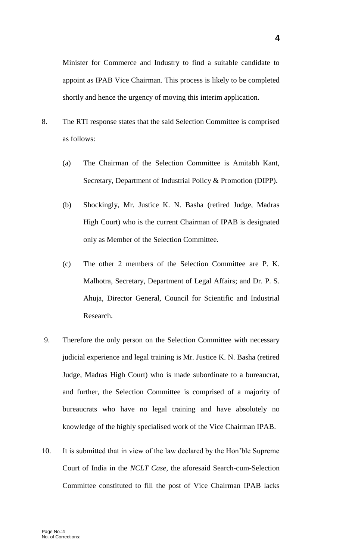shortly and hence the urgency of moving this interim application.

- 8. The RTI response states that the said Selection Committee is comprised as follows:
	- (a) The Chairman of the Selection Committee is Amitabh Kant, Secretary, Department of Industrial Policy & Promotion (DIPP).
	- (b) Shockingly, Mr. Justice K. N. Basha (retired Judge, Madras High Court) who is the current Chairman of IPAB is designated only as Member of the Selection Committee.
	- (c) The other 2 members of the Selection Committee are P. K. Malhotra, Secretary, Department of Legal Affairs; and Dr. P. S. Ahuja, Director General, Council for Scientific and Industrial Research.
- 9. Therefore the only person on the Selection Committee with necessary judicial experience and legal training is Mr. Justice K. N. Basha (retired Judge, Madras High Court) who is made subordinate to a bureaucrat, and further, the Selection Committee is comprised of a majority of bureaucrats who have no legal training and have absolutely no knowledge of the highly specialised work of the Vice Chairman IPAB.
- 10. It is submitted that in view of the law declared by the Hon'ble Supreme Court of India in the *NCLT Case*, the aforesaid Search-cum-Selection Committee constituted to fill the post of Vice Chairman IPAB lacks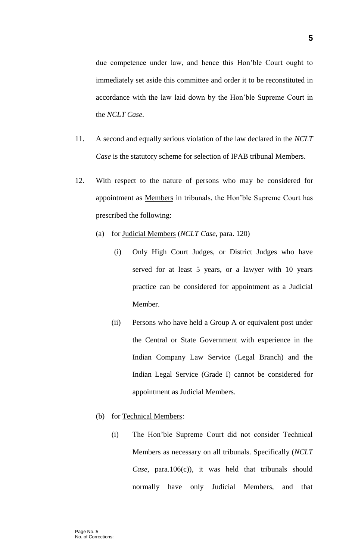due competence under law, and hence this Hon'ble Court ought to immediately set aside this committee and order it to be reconstituted in accordance with the law laid down by the Hon'ble Supreme Court in the *NCLT Case*.

- 11. A second and equally serious violation of the law declared in the *NCLT Case* is the statutory scheme for selection of IPAB tribunal Members.
- 12. With respect to the nature of persons who may be considered for appointment as Members in tribunals, the Hon'ble Supreme Court has prescribed the following:
	- (a) for Judicial Members (*NCLT Case*, para. 120)
		- (i) Only High Court Judges, or District Judges who have served for at least 5 years, or a lawyer with 10 years practice can be considered for appointment as a Judicial Member.
		- (ii) Persons who have held a Group A or equivalent post under the Central or State Government with experience in the Indian Company Law Service (Legal Branch) and the Indian Legal Service (Grade I) cannot be considered for appointment as Judicial Members.
	- (b) for Technical Members:
		- (i) The Hon'ble Supreme Court did not consider Technical Members as necessary on all tribunals. Specifically (*NCLT Case*, para.106(c)), it was held that tribunals should normally have only Judicial Members, and that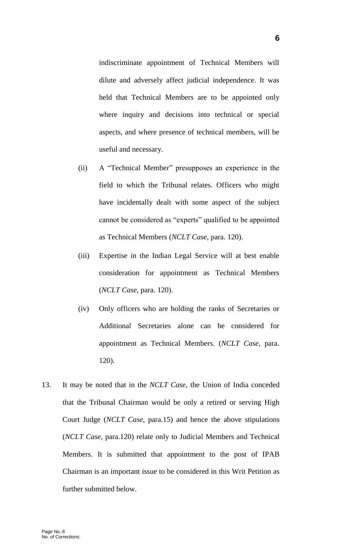indiscriminate appointment of Technical Members will dilute and adversely affect judicial independence. It was held that Technical Members are to be appointed only where inquiry and decisions into technical or special aspects, and where presence of technical members, will be useful and necessary.

- (ii) A "Technical Member" presupposes an experience in the field to which the Tribunal relates. Officers who might have incidentally dealt with some aspect of the subject cannot be considered as "experts" qualified to be appointed as Technical Members (*NCLT Case*, para. 120).
- (iii) Expertise in the Indian Legal Service will at best enable consideration for appointment as Technical Members (*NCLT Case*, para. 120).
- (iv) Only officers who are holding the ranks of Secretaries or Additional Secretaries alone can be considered for appointment as Technical Members. (*NCLT Case*, para. 120).
- 13. It may be noted that in the *NCLT Case*, the Union of India conceded that the Tribunal Chairman would be only a retired or serving High Court Judge (*NCLT Case*, para.15) and hence the above stipulations (*NCLT Case*, para.120) relate only to Judicial Members and Technical Members. It is submitted that appointment to the post of IPAB Chairman is an important issue to be considered in this Writ Petition as further submitted below.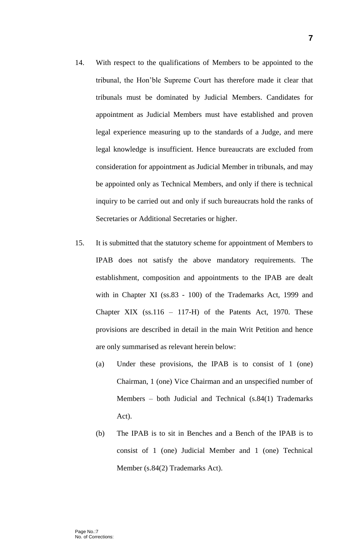- 14. With respect to the qualifications of Members to be appointed to the tribunal, the Hon'ble Supreme Court has therefore made it clear that tribunals must be dominated by Judicial Members. Candidates for appointment as Judicial Members must have established and proven legal experience measuring up to the standards of a Judge, and mere legal knowledge is insufficient. Hence bureaucrats are excluded from consideration for appointment as Judicial Member in tribunals, and may be appointed only as Technical Members, and only if there is technical inquiry to be carried out and only if such bureaucrats hold the ranks of Secretaries or Additional Secretaries or higher.
- 15. It is submitted that the statutory scheme for appointment of Members to IPAB does not satisfy the above mandatory requirements. The establishment, composition and appointments to the IPAB are dealt with in Chapter XI (ss.83 - 100) of the Trademarks Act, 1999 and Chapter XIX  $(ss.116 - 117-H)$  of the Patents Act, 1970. These provisions are described in detail in the main Writ Petition and hence are only summarised as relevant herein below:
	- (a) Under these provisions, the IPAB is to consist of 1 (one) Chairman, 1 (one) Vice Chairman and an unspecified number of Members – both Judicial and Technical (s.84(1) Trademarks Act).
	- (b) The IPAB is to sit in Benches and a Bench of the IPAB is to consist of 1 (one) Judicial Member and 1 (one) Technical Member (s.84(2) Trademarks Act).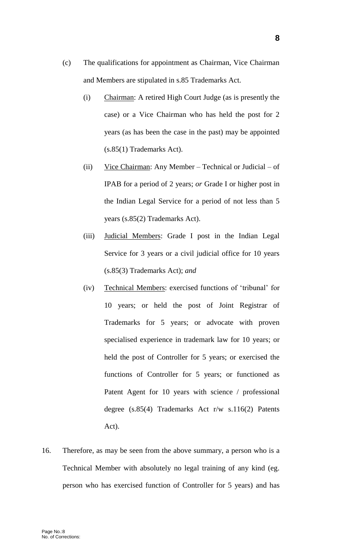- (c) The qualifications for appointment as Chairman, Vice Chairman and Members are stipulated in s.85 Trademarks Act.
	- (i) Chairman: A retired High Court Judge (as is presently the case) or a Vice Chairman who has held the post for 2 years (as has been the case in the past) may be appointed (s.85(1) Trademarks Act).
	- (ii) Vice Chairman: Any Member Technical or Judicial of IPAB for a period of 2 years; *or* Grade I or higher post in the Indian Legal Service for a period of not less than 5 years (s.85(2) Trademarks Act).
	- (iii) Judicial Members: Grade I post in the Indian Legal Service for 3 years or a civil judicial office for 10 years (s.85(3) Trademarks Act); *and*
	- (iv) Technical Members: exercised functions of 'tribunal' for 10 years; or held the post of Joint Registrar of Trademarks for 5 years; or advocate with proven specialised experience in trademark law for 10 years; or held the post of Controller for 5 years; or exercised the functions of Controller for 5 years; or functioned as Patent Agent for 10 years with science / professional degree (s.85(4) Trademarks Act r/w s.116(2) Patents Act).
- 16. Therefore, as may be seen from the above summary, a person who is a Technical Member with absolutely no legal training of any kind (eg. person who has exercised function of Controller for 5 years) and has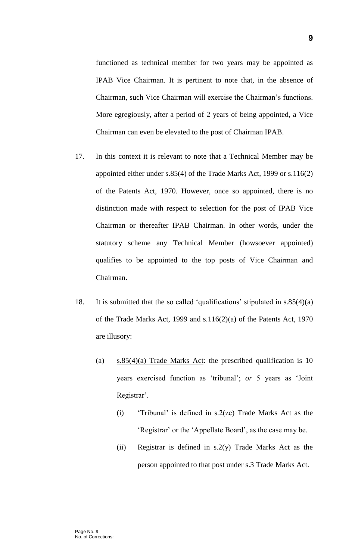functioned as technical member for two years may be appointed as IPAB Vice Chairman. It is pertinent to note that, in the absence of Chairman, such Vice Chairman will exercise the Chairman's functions. More egregiously, after a period of 2 years of being appointed, a Vice Chairman can even be elevated to the post of Chairman IPAB.

- 17. In this context it is relevant to note that a Technical Member may be appointed either under s.85(4) of the Trade Marks Act, 1999 or s.116(2) of the Patents Act, 1970. However, once so appointed, there is no distinction made with respect to selection for the post of IPAB Vice Chairman or thereafter IPAB Chairman. In other words, under the statutory scheme any Technical Member (howsoever appointed) qualifies to be appointed to the top posts of Vice Chairman and Chairman.
- 18. It is submitted that the so called 'qualifications' stipulated in s.85(4)(a) of the Trade Marks Act, 1999 and s.116(2)(a) of the Patents Act, 1970 are illusory:
	- (a) s.85(4)(a) Trade Marks Act: the prescribed qualification is 10 years exercised function as 'tribunal'; *or* 5 years as 'Joint Registrar'.
		- (i) 'Tribunal' is defined in s.2(ze) Trade Marks Act as the 'Registrar' or the 'Appellate Board', as the case may be.
		- (ii) Registrar is defined in  $s.2(y)$  Trade Marks Act as the person appointed to that post under s.3 Trade Marks Act.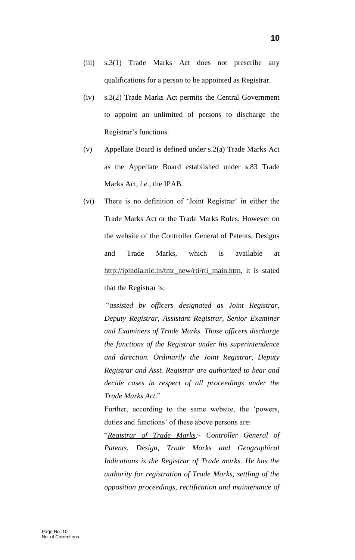- (iii) s.3(1) Trade Marks Act does not prescribe any qualifications for a person to be appointed as Registrar.
- (iv) s.3(2) Trade Marks Act permits the Central Government to appoint an unlimited of persons to discharge the Registrar's functions.
- (v) Appellate Board is defined under s.2(a) Trade Marks Act as the Appellate Board established under s.83 Trade Marks Act, *i*.*e*., the IPAB.
- (vi) There is no definition of 'Joint Registrar' in either the Trade Marks Act or the Trade Marks Rules. However on the website of the Controller General of Patents, Designs and Trade Marks, which is available at [http://ipindia.nic.in/tmr\\_new/rti/rti\\_main.htm,](http://ipindia.nic.in/tmr_new/rti/rti_main.htm) it is stated that the Registrar is:

"*assisted by officers designated as Joint Registrar, Deputy Registrar, Assistant Registrar, Senior Examiner and Examiners of Trade Marks. Those officers discharge the functions of the Registrar under his superintendence and direction. Ordinarily the Joint Registrar, Deputy Registrar and Asst. Registrar are authorized to hear and decide cases in respect of all proceedings under the Trade Marks Act*."

Further, according to the same website, the 'powers, duties and functions' of these above persons are:

"*Registrar of Trade Marks:- Controller General of Patents, Design, Trade Marks and Geographical Indications is the Registrar of Trade marks. He has the authority for registration of Trade Marks, settling of the opposition proceedings, rectification and maintenance of*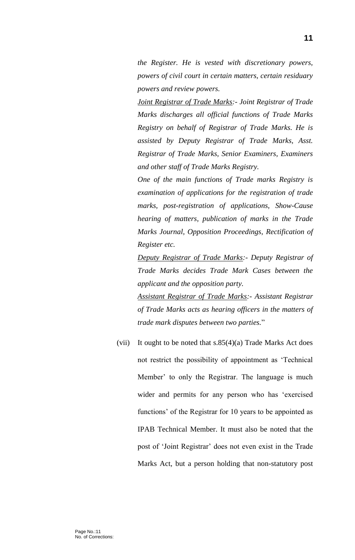*the Register. He is vested with discretionary powers, powers of civil court in certain matters, certain residuary powers and review powers.*

*Joint Registrar of Trade Marks:- Joint Registrar of Trade Marks discharges all official functions of Trade Marks Registry on behalf of Registrar of Trade Marks. He is assisted by Deputy Registrar of Trade Marks, Asst. Registrar of Trade Marks, Senior Examiners, Examiners and other staff of Trade Marks Registry.*

*One of the main functions of Trade marks Registry is examination of applications for the registration of trade marks, post-registration of applications, Show-Cause hearing of matters, publication of marks in the Trade Marks Journal, Opposition Proceedings, Rectification of Register etc.*

*Deputy Registrar of Trade Marks:- Deputy Registrar of Trade Marks decides Trade Mark Cases between the applicant and the opposition party.* 

*Assistant Registrar of Trade Marks:- Assistant Registrar of Trade Marks acts as hearing officers in the matters of trade mark disputes between two parties.*"

(vii) It ought to be noted that s.85(4)(a) Trade Marks Act does not restrict the possibility of appointment as 'Technical Member' to only the Registrar. The language is much wider and permits for any person who has 'exercised functions' of the Registrar for 10 years to be appointed as IPAB Technical Member. It must also be noted that the post of 'Joint Registrar' does not even exist in the Trade Marks Act, but a person holding that non-statutory post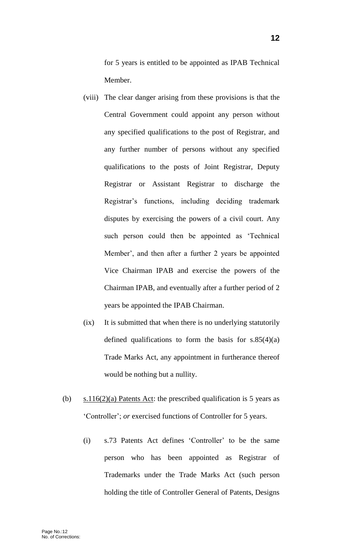for 5 years is entitled to be appointed as IPAB Technical Member.

- (viii) The clear danger arising from these provisions is that the Central Government could appoint any person without any specified qualifications to the post of Registrar, and any further number of persons without any specified qualifications to the posts of Joint Registrar, Deputy Registrar or Assistant Registrar to discharge the Registrar's functions, including deciding trademark disputes by exercising the powers of a civil court. Any such person could then be appointed as 'Technical Member', and then after a further 2 years be appointed Vice Chairman IPAB and exercise the powers of the Chairman IPAB, and eventually after a further period of 2 years be appointed the IPAB Chairman.
- (ix) It is submitted that when there is no underlying statutorily defined qualifications to form the basis for  $s.85(4)(a)$ Trade Marks Act, any appointment in furtherance thereof would be nothing but a nullity.
- (b)  $s.116(2)(a)$  Patents Act: the prescribed qualification is 5 years as 'Controller'; *or* exercised functions of Controller for 5 years.
	- (i) s.73 Patents Act defines 'Controller' to be the same person who has been appointed as Registrar of Trademarks under the Trade Marks Act (such person holding the title of Controller General of Patents, Designs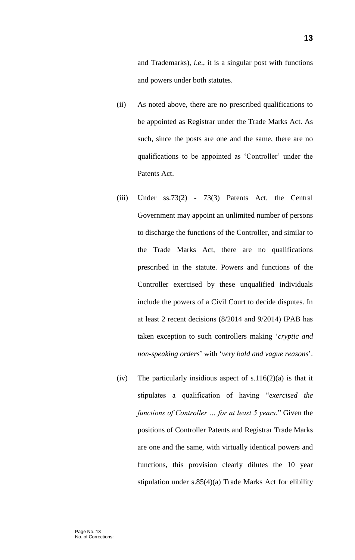and Trademarks), *i*.*e*., it is a singular post with functions and powers under both statutes.

- (ii) As noted above, there are no prescribed qualifications to be appointed as Registrar under the Trade Marks Act. As such, since the posts are one and the same, there are no qualifications to be appointed as 'Controller' under the Patents Act.
- (iii) Under ss.73(2) 73(3) Patents Act, the Central Government may appoint an unlimited number of persons to discharge the functions of the Controller, and similar to the Trade Marks Act, there are no qualifications prescribed in the statute. Powers and functions of the Controller exercised by these unqualified individuals include the powers of a Civil Court to decide disputes. In at least 2 recent decisions (8/2014 and 9/2014) IPAB has taken exception to such controllers making '*cryptic and non-speaking orders*' with '*very bald and vague reasons*'.
- (iv) The particularly insidious aspect of  $s.116(2)(a)$  is that it stipulates a qualification of having "*exercised the functions of Controller … for at least 5 years*." Given the positions of Controller Patents and Registrar Trade Marks are one and the same, with virtually identical powers and functions, this provision clearly dilutes the 10 year stipulation under s.85(4)(a) Trade Marks Act for elibility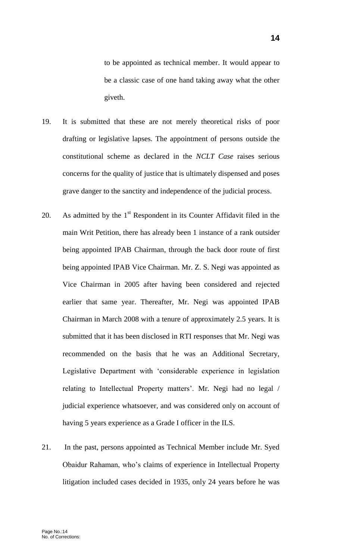to be appointed as technical member. It would appear to be a classic case of one hand taking away what the other giveth.

- 19. It is submitted that these are not merely theoretical risks of poor drafting or legislative lapses. The appointment of persons outside the constitutional scheme as declared in the *NCLT Case* raises serious concerns for the quality of justice that is ultimately dispensed and poses grave danger to the sanctity and independence of the judicial process.
- 20. As admitted by the  $1<sup>st</sup>$  Respondent in its Counter Affidavit filed in the main Writ Petition, there has already been 1 instance of a rank outsider being appointed IPAB Chairman, through the back door route of first being appointed IPAB Vice Chairman. Mr. Z. S. Negi was appointed as Vice Chairman in 2005 after having been considered and rejected earlier that same year. Thereafter, Mr. Negi was appointed IPAB Chairman in March 2008 with a tenure of approximately 2.5 years. It is submitted that it has been disclosed in RTI responses that Mr. Negi was recommended on the basis that he was an Additional Secretary, Legislative Department with 'considerable experience in legislation relating to Intellectual Property matters'. Mr. Negi had no legal / judicial experience whatsoever, and was considered only on account of having 5 years experience as a Grade I officer in the ILS.
- 21. In the past, persons appointed as Technical Member include Mr. Syed Obaidur Rahaman, who's claims of experience in Intellectual Property litigation included cases decided in 1935, only 24 years before he was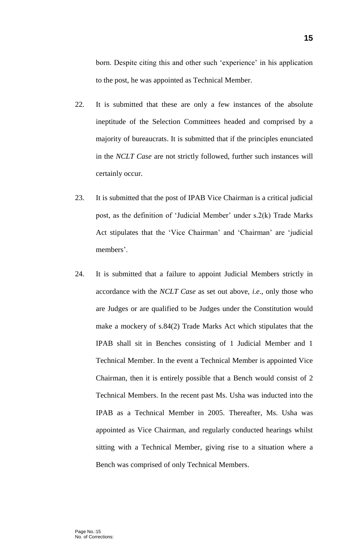born. Despite citing this and other such 'experience' in his application to the post, he was appointed as Technical Member.

- 22. It is submitted that these are only a few instances of the absolute ineptitude of the Selection Committees headed and comprised by a majority of bureaucrats. It is submitted that if the principles enunciated in the *NCLT Case* are not strictly followed, further such instances will certainly occur.
- 23. It is submitted that the post of IPAB Vice Chairman is a critical judicial post, as the definition of 'Judicial Member' under s.2(k) Trade Marks Act stipulates that the 'Vice Chairman' and 'Chairman' are 'judicial members'.
- 24. It is submitted that a failure to appoint Judicial Members strictly in accordance with the *NCLT Case* as set out above, *i*.*e*., only those who are Judges or are qualified to be Judges under the Constitution would make a mockery of s.84(2) Trade Marks Act which stipulates that the IPAB shall sit in Benches consisting of 1 Judicial Member and 1 Technical Member. In the event a Technical Member is appointed Vice Chairman, then it is entirely possible that a Bench would consist of 2 Technical Members. In the recent past Ms. Usha was inducted into the IPAB as a Technical Member in 2005. Thereafter, Ms. Usha was appointed as Vice Chairman, and regularly conducted hearings whilst sitting with a Technical Member, giving rise to a situation where a Bench was comprised of only Technical Members.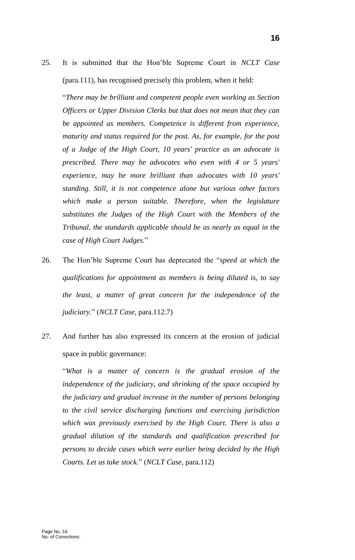25. It is submitted that the Hon'ble Supreme Court in *NCLT Case* (para.111), has recognised precisely this problem, when it held:

"*There may be brilliant and competent people even working as Section Officers or Upper Division Clerks but that does not mean that they can be appointed as members. Competence is different from experience, maturity and status required for the post. As, for example, for the post of a Judge of the High Court, 10 years' practice as an advocate is prescribed. There may be advocates who even with 4 or 5 years' experience, may be more brilliant than advocates with 10 years' standing. Still, it is not competence alone but various other factors*  which make a person suitable. Therefore, when the legislature *substitutes the Judges of the High Court with the Members of the Tribunal, the standards applicable should be as nearly as equal in the case of High Court Judges*."

- 26. The Hon'ble Supreme Court has deprecated the "*speed at which the qualifications for appointment as members is being diluted is, to say the least, a matter of great concern for the independence of the judiciary*." (*NCLT Case*, para.112.7)
- 27. And further has also expressed its concern at the erosion of judicial space in public governance:

"*What is a matter of concern is the gradual erosion of the independence of the judiciary, and shrinking of the space occupied by the judiciary and gradual increase in the number of persons belonging to the civil service discharging functions and exercising jurisdiction which was previously exercised by the High Court. There is also a gradual dilution of the standards and qualification prescribed for persons to decide cases which were earlier being decided by the High Courts. Let us take stock.*" (*NCLT Case*, para.112)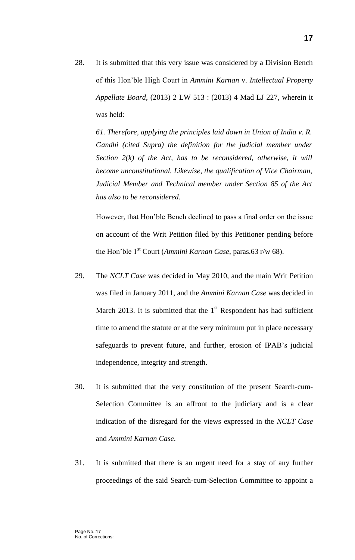28. It is submitted that this very issue was considered by a Division Bench of this Hon'ble High Court in *Ammini Karnan* v. *Intellectual Property Appellate Board*, (2013) 2 LW 513 : (2013) 4 Mad LJ 227, wherein it was held:

*61. Therefore, applying the principles laid down in Union of India v. R. Gandhi (cited Supra) the definition for the judicial member under Section 2(k) of the Act, has to be reconsidered, otherwise, it will become unconstitutional. Likewise, the qualification of Vice Chairman, Judicial Member and Technical member under Section 85 of the Act has also to be reconsidered.*

However, that Hon'ble Bench declined to pass a final order on the issue on account of the Writ Petition filed by this Petitioner pending before the Hon'ble 1st Court (*Ammini Karnan Case*, paras.63 r/w 68).

- 29. The *NCLT Case* was decided in May 2010, and the main Writ Petition was filed in January 2011, and the *Ammini Karnan Case* was decided in March 2013. It is submitted that the  $1<sup>st</sup>$  Respondent has had sufficient time to amend the statute or at the very minimum put in place necessary safeguards to prevent future, and further, erosion of IPAB's judicial independence, integrity and strength.
- 30. It is submitted that the very constitution of the present Search-cum-Selection Committee is an affront to the judiciary and is a clear indication of the disregard for the views expressed in the *NCLT Case* and *Ammini Karnan Case*.
- 31. It is submitted that there is an urgent need for a stay of any further proceedings of the said Search-cum-Selection Committee to appoint a